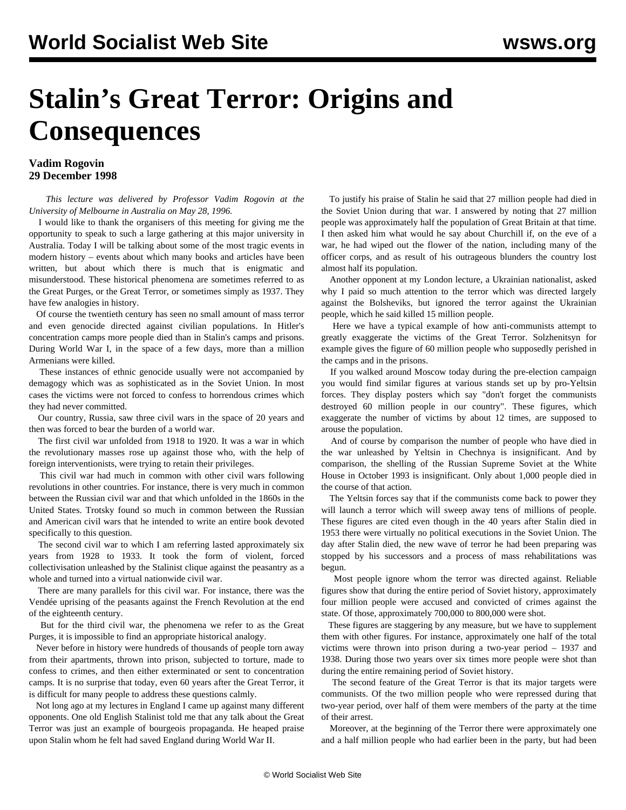## **Stalin's Great Terror: Origins and Consequences**

## **Vadim Rogovin 29 December 1998**

 *This lecture was delivered by Professor Vadim Rogovin at the University of Melbourne in Australia on May 28, 1996.* 

 I would like to thank the organisers of this meeting for giving me the opportunity to speak to such a large gathering at this major university in Australia. Today I will be talking about some of the most tragic events in modern history – events about which many books and articles have been written, but about which there is much that is enigmatic and misunderstood. These historical phenomena are sometimes referred to as the Great Purges, or the Great Terror, or sometimes simply as 1937. They have few analogies in history.

 Of course the twentieth century has seen no small amount of mass terror and even genocide directed against civilian populations. In Hitler's concentration camps more people died than in Stalin's camps and prisons. During World War I, in the space of a few days, more than a million Armenians were killed.

 These instances of ethnic genocide usually were not accompanied by demagogy which was as sophisticated as in the Soviet Union. In most cases the victims were not forced to confess to horrendous crimes which they had never committed.

 Our country, Russia, saw three civil wars in the space of 20 years and then was forced to bear the burden of a world war.

 The first civil war unfolded from 1918 to 1920. It was a war in which the revolutionary masses rose up against those who, with the help of foreign interventionists, were trying to retain their privileges.

 This civil war had much in common with other civil wars following revolutions in other countries. For instance, there is very much in common between the Russian civil war and that which unfolded in the 1860s in the United States. Trotsky found so much in common between the Russian and American civil wars that he intended to write an entire book devoted specifically to this question.

 The second civil war to which I am referring lasted approximately six years from 1928 to 1933. It took the form of violent, forced collectivisation unleashed by the Stalinist clique against the peasantry as a whole and turned into a virtual nationwide civil war.

 There are many parallels for this civil war. For instance, there was the Vendée uprising of the peasants against the French Revolution at the end of the eighteenth century.

 But for the third civil war, the phenomena we refer to as the Great Purges, it is impossible to find an appropriate historical analogy.

 Never before in history were hundreds of thousands of people torn away from their apartments, thrown into prison, subjected to torture, made to confess to crimes, and then either exterminated or sent to concentration camps. It is no surprise that today, even 60 years after the Great Terror, it is difficult for many people to address these questions calmly.

 Not long ago at my lectures in England I came up against many different opponents. One old English Stalinist told me that any talk about the Great Terror was just an example of bourgeois propaganda. He heaped praise upon Stalin whom he felt had saved England during World War II.

 To justify his praise of Stalin he said that 27 million people had died in the Soviet Union during that war. I answered by noting that 27 million people was approximately half the population of Great Britain at that time. I then asked him what would he say about Churchill if, on the eve of a war, he had wiped out the flower of the nation, including many of the officer corps, and as result of his outrageous blunders the country lost almost half its population.

 Another opponent at my London lecture, a Ukrainian nationalist, asked why I paid so much attention to the terror which was directed largely against the Bolsheviks, but ignored the terror against the Ukrainian people, which he said killed 15 million people.

 Here we have a typical example of how anti-communists attempt to greatly exaggerate the victims of the Great Terror. Solzhenitsyn for example gives the figure of 60 million people who supposedly perished in the camps and in the prisons.

 If you walked around Moscow today during the pre-election campaign you would find similar figures at various stands set up by pro-Yeltsin forces. They display posters which say "don't forget the communists destroyed 60 million people in our country". These figures, which exaggerate the number of victims by about 12 times, are supposed to arouse the population.

 And of course by comparison the number of people who have died in the war unleashed by Yeltsin in Chechnya is insignificant. And by comparison, the shelling of the Russian Supreme Soviet at the White House in October 1993 is insignificant. Only about 1,000 people died in the course of that action.

 The Yeltsin forces say that if the communists come back to power they will launch a terror which will sweep away tens of millions of people. These figures are cited even though in the 40 years after Stalin died in 1953 there were virtually no political executions in the Soviet Union. The day after Stalin died, the new wave of terror he had been preparing was stopped by his successors and a process of mass rehabilitations was begun.

 Most people ignore whom the terror was directed against. Reliable figures show that during the entire period of Soviet history, approximately four million people were accused and convicted of crimes against the state. Of those, approximately 700,000 to 800,000 were shot.

 These figures are staggering by any measure, but we have to supplement them with other figures. For instance, approximately one half of the total victims were thrown into prison during a two-year period – 1937 and 1938. During those two years over six times more people were shot than during the entire remaining period of Soviet history.

 The second feature of the Great Terror is that its major targets were communists. Of the two million people who were repressed during that two-year period, over half of them were members of the party at the time of their arrest.

 Moreover, at the beginning of the Terror there were approximately one and a half million people who had earlier been in the party, but had been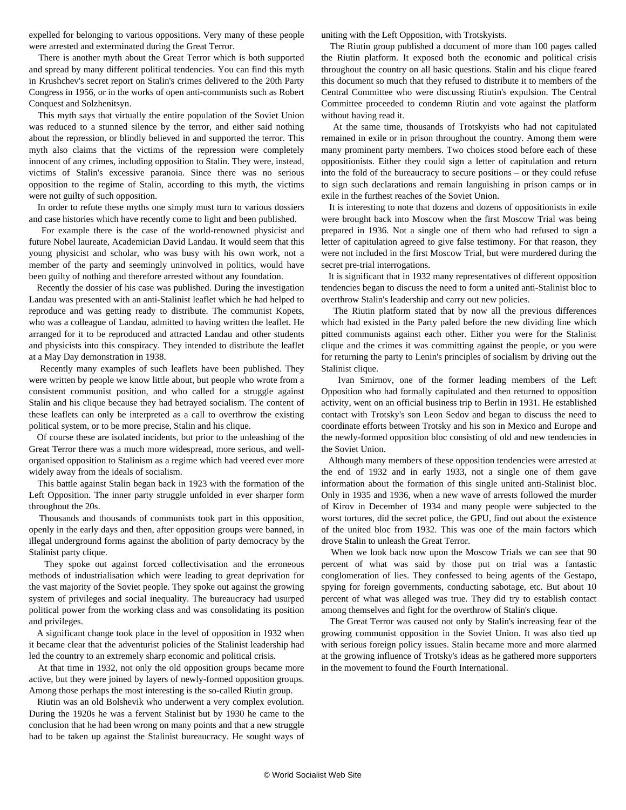expelled for belonging to various oppositions. Very many of these people were arrested and exterminated during the Great Terror.

 There is another myth about the Great Terror which is both supported and spread by many different political tendencies. You can find this myth in Krushchev's secret report on Stalin's crimes delivered to the 20th Party Congress in 1956, or in the works of open anti-communists such as Robert Conquest and Solzhenitsyn.

 This myth says that virtually the entire population of the Soviet Union was reduced to a stunned silence by the terror, and either said nothing about the repression, or blindly believed in and supported the terror. This myth also claims that the victims of the repression were completely innocent of any crimes, including opposition to Stalin. They were, instead, victims of Stalin's excessive paranoia. Since there was no serious opposition to the regime of Stalin, according to this myth, the victims were not guilty of such opposition.

 In order to refute these myths one simply must turn to various dossiers and case histories which have recently come to light and been published.

 For example there is the case of the world-renowned physicist and future Nobel laureate, Academician David Landau. It would seem that this young physicist and scholar, who was busy with his own work, not a member of the party and seemingly uninvolved in politics, would have been guilty of nothing and therefore arrested without any foundation.

 Recently the dossier of his case was published. During the investigation Landau was presented with an anti-Stalinist leaflet which he had helped to reproduce and was getting ready to distribute. The communist Kopets, who was a colleague of Landau, admitted to having written the leaflet. He arranged for it to be reproduced and attracted Landau and other students and physicists into this conspiracy. They intended to distribute the leaflet at a May Day demonstration in 1938.

 Recently many examples of such leaflets have been published. They were written by people we know little about, but people who wrote from a consistent communist position, and who called for a struggle against Stalin and his clique because they had betrayed socialism. The content of these leaflets can only be interpreted as a call to overthrow the existing political system, or to be more precise, Stalin and his clique.

 Of course these are isolated incidents, but prior to the unleashing of the Great Terror there was a much more widespread, more serious, and wellorganised opposition to Stalinism as a regime which had veered ever more widely away from the ideals of socialism.

 This battle against Stalin began back in 1923 with the formation of the Left Opposition. The inner party struggle unfolded in ever sharper form throughout the 20s.

 Thousands and thousands of communists took part in this opposition, openly in the early days and then, after opposition groups were banned, in illegal underground forms against the abolition of party democracy by the Stalinist party clique.

 They spoke out against forced collectivisation and the erroneous methods of industrialisation which were leading to great deprivation for the vast majority of the Soviet people. They spoke out against the growing system of privileges and social inequality. The bureaucracy had usurped political power from the working class and was consolidating its position and privileges.

 A significant change took place in the level of opposition in 1932 when it became clear that the adventurist policies of the Stalinist leadership had led the country to an extremely sharp economic and political crisis.

 At that time in 1932, not only the old opposition groups became more active, but they were joined by layers of newly-formed opposition groups. Among those perhaps the most interesting is the so-called Riutin group.

 Riutin was an old Bolshevik who underwent a very complex evolution. During the 1920s he was a fervent Stalinist but by 1930 he came to the conclusion that he had been wrong on many points and that a new struggle had to be taken up against the Stalinist bureaucracy. He sought ways of uniting with the Left Opposition, with Trotskyists.

 The Riutin group published a document of more than 100 pages called the Riutin platform. It exposed both the economic and political crisis throughout the country on all basic questions. Stalin and his clique feared this document so much that they refused to distribute it to members of the Central Committee who were discussing Riutin's expulsion. The Central Committee proceeded to condemn Riutin and vote against the platform without having read it.

 At the same time, thousands of Trotskyists who had not capitulated remained in exile or in prison throughout the country. Among them were many prominent party members. Two choices stood before each of these oppositionists. Either they could sign a letter of capitulation and return into the fold of the bureaucracy to secure positions – or they could refuse to sign such declarations and remain languishing in prison camps or in exile in the furthest reaches of the Soviet Union.

 It is interesting to note that dozens and dozens of oppositionists in exile were brought back into Moscow when the first Moscow Trial was being prepared in 1936. Not a single one of them who had refused to sign a letter of capitulation agreed to give false testimony. For that reason, they were not included in the first Moscow Trial, but were murdered during the secret pre-trial interrogations.

 It is significant that in 1932 many representatives of different opposition tendencies began to discuss the need to form a united anti-Stalinist bloc to overthrow Stalin's leadership and carry out new policies.

 The Riutin platform stated that by now all the previous differences which had existed in the Party paled before the new dividing line which pitted communists against each other. Either you were for the Stalinist clique and the crimes it was committing against the people, or you were for returning the party to Lenin's principles of socialism by driving out the Stalinist clique.

 Ivan Smirnov, one of the former leading members of the Left Opposition who had formally capitulated and then returned to opposition activity, went on an official business trip to Berlin in 1931. He established contact with Trotsky's son Leon Sedov and began to discuss the need to coordinate efforts between Trotsky and his son in Mexico and Europe and the newly-formed opposition bloc consisting of old and new tendencies in the Soviet Union.

 Although many members of these opposition tendencies were arrested at the end of 1932 and in early 1933, not a single one of them gave information about the formation of this single united anti-Stalinist bloc. Only in 1935 and 1936, when a new wave of arrests followed the murder of Kirov in December of 1934 and many people were subjected to the worst tortures, did the secret police, the GPU, find out about the existence of the united bloc from 1932. This was one of the main factors which drove Stalin to unleash the Great Terror.

 When we look back now upon the Moscow Trials we can see that 90 percent of what was said by those put on trial was a fantastic conglomeration of lies. They confessed to being agents of the Gestapo, spying for foreign governments, conducting sabotage, etc. But about 10 percent of what was alleged was true. They did try to establish contact among themselves and fight for the overthrow of Stalin's clique.

 The Great Terror was caused not only by Stalin's increasing fear of the growing communist opposition in the Soviet Union. It was also tied up with serious foreign policy issues. Stalin became more and more alarmed at the growing influence of Trotsky's ideas as he gathered more supporters in the movement to found the Fourth International.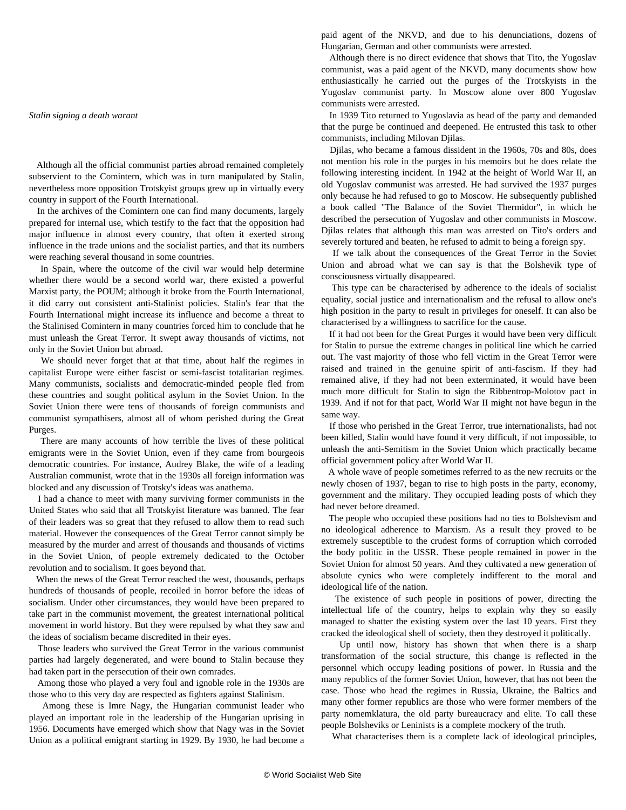## *Stalin signing a death warant*

 Although all the official communist parties abroad remained completely subservient to the Comintern, which was in turn manipulated by Stalin, nevertheless more opposition Trotskyist groups grew up in virtually every country in support of the Fourth International.

 In the archives of the Comintern one can find many documents, largely prepared for internal use, which testify to the fact that the opposition had major influence in almost every country, that often it exerted strong influence in the trade unions and the socialist parties, and that its numbers were reaching several thousand in some countries.

 In Spain, where the outcome of the civil war would help determine whether there would be a second world war, there existed a powerful Marxist party, the POUM; although it broke from the Fourth International, it did carry out consistent anti-Stalinist policies. Stalin's fear that the Fourth International might increase its influence and become a threat to the Stalinised Comintern in many countries forced him to conclude that he must unleash the Great Terror. It swept away thousands of victims, not only in the Soviet Union but abroad.

 We should never forget that at that time, about half the regimes in capitalist Europe were either fascist or semi-fascist totalitarian regimes. Many communists, socialists and democratic-minded people fled from these countries and sought political asylum in the Soviet Union. In the Soviet Union there were tens of thousands of foreign communists and communist sympathisers, almost all of whom perished during the Great Purges.

 There are many accounts of how terrible the lives of these political emigrants were in the Soviet Union, even if they came from bourgeois democratic countries. For instance, Audrey Blake, the wife of a leading Australian communist, wrote that in the 1930s all foreign information was blocked and any discussion of Trotsky's ideas was anathema.

 I had a chance to meet with many surviving former communists in the United States who said that all Trotskyist literature was banned. The fear of their leaders was so great that they refused to allow them to read such material. However the consequences of the Great Terror cannot simply be measured by the murder and arrest of thousands and thousands of victims in the Soviet Union, of people extremely dedicated to the October revolution and to socialism. It goes beyond that.

 When the news of the Great Terror reached the west, thousands, perhaps hundreds of thousands of people, recoiled in horror before the ideas of socialism. Under other circumstances, they would have been prepared to take part in the communist movement, the greatest international political movement in world history. But they were repulsed by what they saw and the ideas of socialism became discredited in their eyes.

 Those leaders who survived the Great Terror in the various communist parties had largely degenerated, and were bound to Stalin because they had taken part in the persecution of their own comrades.

 Among those who played a very foul and ignoble role in the 1930s are those who to this very day are respected as fighters against Stalinism.

 Among these is Imre Nagy, the Hungarian communist leader who played an important role in the leadership of the Hungarian uprising in 1956. Documents have emerged which show that Nagy was in the Soviet Union as a political emigrant starting in 1929. By 1930, he had become a

paid agent of the NKVD, and due to his denunciations, dozens of Hungarian, German and other communists were arrested.

 Although there is no direct evidence that shows that Tito, the Yugoslav communist, was a paid agent of the NKVD, many documents show how enthusiastically he carried out the purges of the Trotskyists in the Yugoslav communist party. In Moscow alone over 800 Yugoslav communists were arrested.

 In 1939 Tito returned to Yugoslavia as head of the party and demanded that the purge be continued and deepened. He entrusted this task to other communists, including Milovan Djilas.

Ly the pure is a tamous dissident in the 1960s, 70s and 80s, does<br>not mention his role in the purges in his memoirs but he does relate the Djilas, who became a famous dissident in the 1960s, 70s and 80s, does following interesting incident. In 1942 at the height of World War II, an old Yugoslav communist was arrested. He had survived the 1937 purges only because he had refused to go to Moscow. He subsequently published a book called "The Balance of the Soviet Thermidor", in which he described the persecution of Yugoslav and other communists in Moscow. Djilas relates that although this man was arrested on Tito's orders and severely tortured and beaten, he refused to admit to being a foreign spy.

 If we talk about the consequences of the Great Terror in the Soviet Union and abroad what we can say is that the Bolshevik type of consciousness virtually disappeared.

 This type can be characterised by adherence to the ideals of socialist equality, social justice and internationalism and the refusal to allow one's high position in the party to result in privileges for oneself. It can also be characterised by a willingness to sacrifice for the cause.

 If it had not been for the Great Purges it would have been very difficult for Stalin to pursue the extreme changes in political line which he carried out. The vast majority of those who fell victim in the Great Terror were raised and trained in the genuine spirit of anti-fascism. If they had remained alive, if they had not been exterminated, it would have been much more difficult for Stalin to sign the Ribbentrop-Molotov pact in 1939. And if not for that pact, World War II might not have begun in the same way.

 If those who perished in the Great Terror, true internationalists, had not been killed, Stalin would have found it very difficult, if not impossible, to unleash the anti-Semitism in the Soviet Union which practically became official government policy after World War II.

 A whole wave of people sometimes referred to as the new recruits or the newly chosen of 1937, began to rise to high posts in the party, economy, government and the military. They occupied leading posts of which they had never before dreamed.

 The people who occupied these positions had no ties to Bolshevism and no ideological adherence to Marxism. As a result they proved to be extremely susceptible to the crudest forms of corruption which corroded the body politic in the USSR. These people remained in power in the Soviet Union for almost 50 years. And they cultivated a new generation of absolute cynics who were completely indifferent to the moral and ideological life of the nation.

 The existence of such people in positions of power, directing the intellectual life of the country, helps to explain why they so easily managed to shatter the existing system over the last 10 years. First they cracked the ideological shell of society, then they destroyed it politically.

 Up until now, history has shown that when there is a sharp transformation of the social structure, this change is reflected in the personnel which occupy leading positions of power. In Russia and the many republics of the former Soviet Union, however, that has not been the case. Those who head the regimes in Russia, Ukraine, the Baltics and many other former republics are those who were former members of the party nomemklatura, the old party bureaucracy and elite. To call these people Bolsheviks or Leninists is a complete mockery of the truth.

What characterises them is a complete lack of ideological principles,